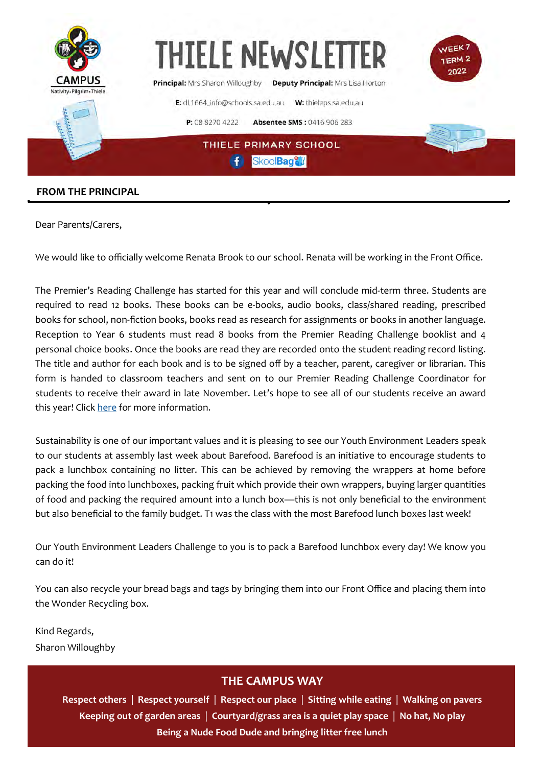

### **FROM THE PRINCIPAL**

Dear Parents/Carers,

We would like to officially welcome Renata Brook to our school. Renata will be working in the Front Office.

The Premier's Reading Challenge has started for this year and will conclude mid-term three. Students are required to read 12 books. These books can be e-books, audio books, class/shared reading, prescribed books for school, non-fiction books, books read as research for assignments or books in another language. Reception to Year 6 students must read 8 books from the Premier Reading Challenge booklist and 4 personal choice books. Once the books are read they are recorded onto the student reading record listing. The title and author for each book and is to be signed off by a teacher, parent, caregiver or librarian. This form is handed to classroom teachers and sent on to our Premier Reading Challenge Coordinator for students to receive their award in late November. Let's hope to see all of our students receive an award this year! Click [here](https://premiersreadingchallenge.sa.edu.au/) for more information.

Sustainability is one of our important values and it is pleasing to see our Youth Environment Leaders speak to our students at assembly last week about Barefood. Barefood is an initiative to encourage students to pack a lunchbox containing no litter. This can be achieved by removing the wrappers at home before packing the food into lunchboxes, packing fruit which provide their own wrappers, buying larger quantities of food and packing the required amount into a lunch box—this is not only beneficial to the environment but also beneficial to the family budget. T1 was the class with the most Barefood lunch boxes last week!

Our Youth Environment Leaders Challenge to you is to pack a Barefood lunchbox every day! We know you can do it!

You can also recycle your bread bags and tags by bringing them into our Front Office and placing them into the Wonder Recycling box.

Kind Regards, Sharon Willoughby

### **THE CAMPUS WAY**

**Respect others | Respect yourself** | **Respect our place** | **Sitting while eating** | **Walking on pavers Keeping out of garden areas** | **Courtyard/grass area is a quiet play space** | **No hat, No play Being a Nude Food Dude and bringing litter free lunch**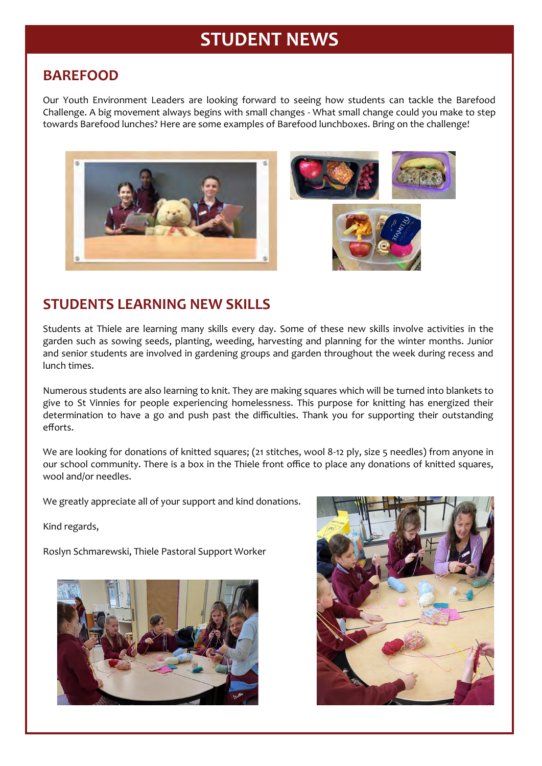# **STUDENT NEWS**

### **BAREFOOD**

Our Youth Environment Leaders are looking forward to seeing how students can tackle the Barefood Challenge. A big movement always begins with small changes - What small change could you make to step towards Barefood lunches? Here are some examples of Barefood lunchboxes. Bring on the challenge!



### **STUDENTS LEARNING NEW SKILLS**

Students at Thiele are learning many skills every day. Some of these new skills involve activities in the garden such as sowing seeds, planting, weeding, harvesting and planning for the winter months. Junior and senior students are involved in gardening groups and garden throughout the week during recess and lunch times.

Numerous students are also learning to knit. They are making squares which will be turned into blankets to give to St Vinnies for people experiencing homelessness. This purpose for knitting has energized their determination to have a go and push past the difficulties. Thank you for supporting their outstanding efforts.

We are looking for donations of knitted squares; (21 stitches, wool 8-12 ply, size 5 needles) from anyone in our school community. There is a box in the Thiele front office to place any donations of knitted squares, wool and/or needles.

We greatly appreciate all of your support and kind donations.

Kind regards,

Roslyn Schmarewski, Thiele Pastoral Support Worker



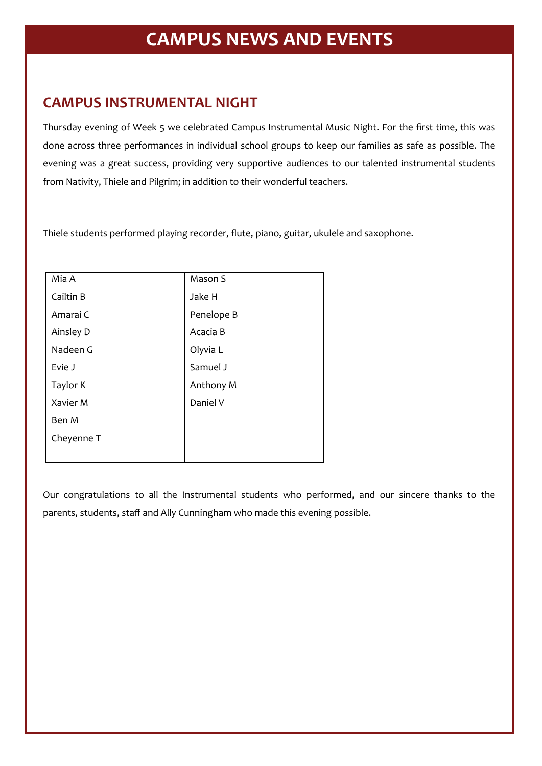# **CAMPUS INSTRUMENTAL NIGHT**

Thursday evening of Week 5 we celebrated Campus Instrumental Music Night. For the first time, this was done across three performances in individual school groups to keep our families as safe as possible. The evening was a great success, providing very supportive audiences to our talented instrumental students from Nativity, Thiele and Pilgrim; in addition to their wonderful teachers.

Thiele students performed playing recorder, flute, piano, guitar, ukulele and saxophone.

| Mia A      | Mason S    |
|------------|------------|
| Cailtin B  | Jake H     |
| Amarai C   | Penelope B |
| Ainsley D  | Acacia B   |
| Nadeen G   | Olyvia L   |
| Evie J     | Samuel J   |
| Taylor K   | Anthony M  |
| Xavier M   | Daniel V   |
| Ben M      |            |
| Cheyenne T |            |
|            |            |

Our congratulations to all the Instrumental students who performed, and our sincere thanks to the parents, students, staff and Ally Cunningham who made this evening possible.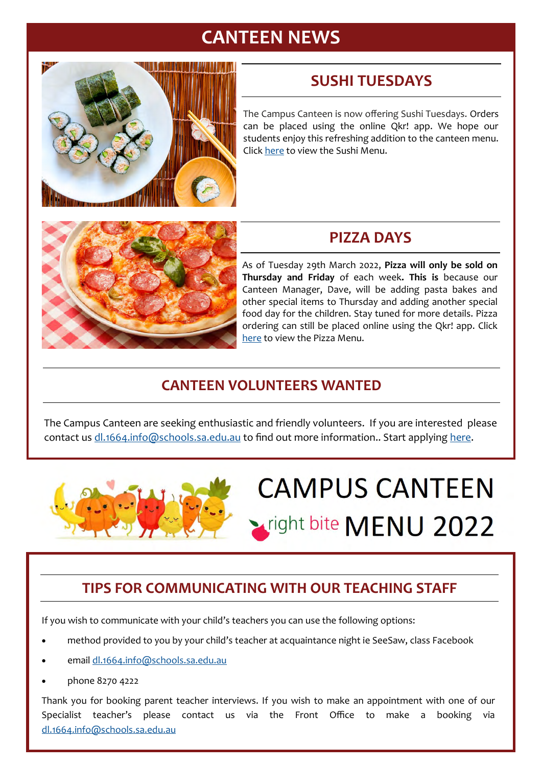# **CANTEEN NEWS**



# **SUSHI TUESDAYS**

The Campus Canteen is now offering Sushi Tuesdays. Orders can be placed using the online Qkr! app. We hope our students enjoy this refreshing addition to the canteen menu. Click [here](https://thieleps.sa.edu.au/wp-content/uploads/2022/03/Thiele-Primary-School-sushi_tuesdays_flyer.pdf) to view the Sushi Menu.



# **PIZZA DAYS**

As of Tuesday 29th March 2022, **Pizza will only be sold on Thursday and Friday** of each week**. This is** because our Canteen Manager, Dave, will be adding pasta bakes and other special items to Thursday and adding another special food day for the children. Stay tuned for more details. Pizza ordering can still be placed online using the Qkr! app. Click [here](https://thieleps.sa.edu.au/wp-content/uploads/2022/03/Thiele-Primary-School-canteen_pizza_menu.pdf) to view the Pizza Menu.

# **CANTEEN VOLUNTEERS WANTED**

The Campus Canteen are seeking enthusiastic and friendly volunteers. If you are interested please contact us [dl.1664.info@schools.sa.edu.au](mailto:dl.1664.info@schools.sa.edu.au) to find out more information.. Start applying here.



# **CAMPUS CANTEEN** tright bite MENU 2022

# **TIPS FOR COMMUNICATING WITH OUR TEACHING STAFF**

If you wish to communicate with your child's teachers you can use the following options:

- method provided to you by your child's teacher at acquaintance night ie SeeSaw, class Facebook
- email [dl.1664.info@schools.sa.edu.au](mailto:dl.1664.info@schools.sa.edu.au)
- phone 8270 4222

Thank you for booking parent teacher interviews. If you wish to make an appointment with one of our Specialist teacher's please contact us via the Front Office to make a booking via [dl.1664.info@schools.sa.edu.au](mailto:dl.1664.info@schools.sa.edu.au)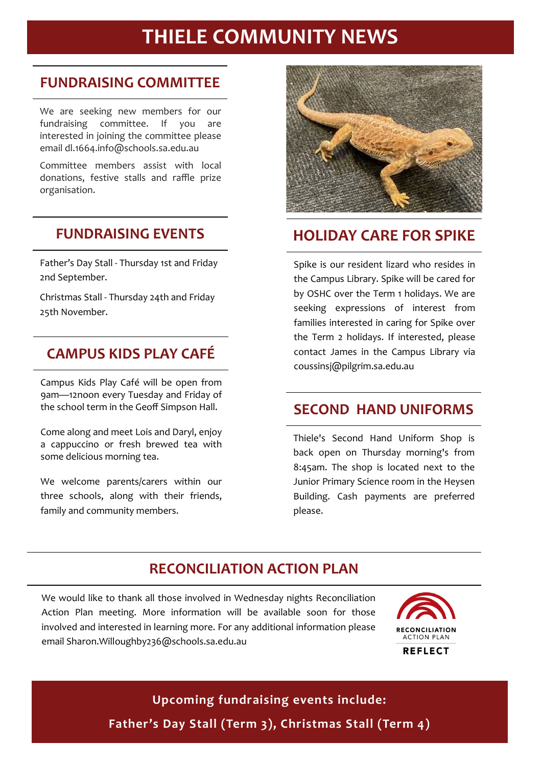# **THIELE COMMUNITY NEWS**

### **FUNDRAISING COMMITTEE**

We are seeking new members for our fundraising committee. If you are interested in joining the committee please email dl.1664.info@schools.sa.edu.au

Committee members assist with local donations, festive stalls and raffle prize organisation.

# **FUNDRAISING EVENTS**

Father's Day Stall - Thursday 1st and Friday 2nd September.

Christmas Stall - Thursday 24th and Friday 25th November.

# **CAMPUS KIDS PLAY CAFÉ**

Campus Kids Play Café will be open from 9am—12noon every Tuesday and Friday of the school term in the Geoff Simpson Hall.

Come along and meet Lois and Daryl, enjoy a cappuccino or fresh brewed tea with some delicious morning tea.

We welcome parents/carers within our three schools, along with their friends, family and community members.



# **HOLIDAY CARE FOR SPIKE**

Spike is our resident lizard who resides in the Campus Library. Spike will be cared for by OSHC over the Term 1 holidays. We are seeking expressions of interest from families interested in caring for Spike over the Term 2 holidays. If interested, please contact James in the Campus Library via [coussinsj@pilgrim.sa.edu.au](mailto:coussinsj@pilgrim.sa.edu.au)

# **SECOND HAND UNIFORMS**

Thiele's Second Hand Uniform Shop is back open on Thursday morning's from 8:45am. The shop is located next to the Junior Primary Science room in the Heysen Building. Cash payments are preferred please.

# **RECONCILIATION ACTION PLAN**

We would like to thank all those involved in Wednesday nights Reconciliation Action Plan meeting. More information will be available soon for those involved and interested in learning more. For any additional information please email Sharon.Willoughby236@schools.sa.edu.au



# **Upcoming fundraising events include: Father's Day Stall (Term 3), Christmas Stall (Term 4)**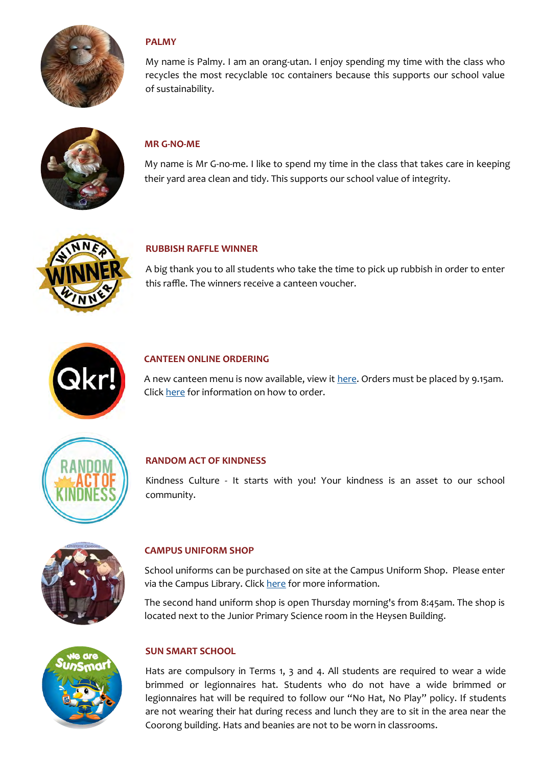

### **PALMY**

My name is Palmy. I am an orang-utan. I enjoy spending my time with the class who recycles the most recyclable 10c containers because this supports our school value of sustainability.



### **MR G-NO-ME**

My name is Mr G-no-me. I like to spend my time in the class that takes care in keeping their yard area clean and tidy. This supports our school value of integrity.



#### **RUBBISH RAFFLE WINNER**

A big thank you to all students who take the time to pick up rubbish in order to enter this raffle. The winners receive a canteen voucher.



#### **CANTEEN ONLINE ORDERING**

A new canteen menu is now available, view it [here.](https://thieleps.sa.edu.au/wp-content/uploads/2022/05/Thiele-Primary-School-1_canteen_menu_2022_winter_updated2.pdf?fbclid=IwAR0YElF_HyE1_48FRrDBBe17ElZAzLLuW9VPl3TxnIp7hD3FUdkXU0ZtGTE) Orders must be placed by 9.15am. Click [here](https://thieleps.sa.edu.au/wp-content/uploads/2022/02/Thiele-Primary-School-canteen_online_ordering.pdf) for information on how to order.



#### **RANDOM ACT OF KINDNESS**

Kindness Culture - It starts with you! Your kindness is an asset to our school community.



#### **CAMPUS UNIFORM SHOP**

School uniforms can be purchased on site at the Campus Uniform Shop. Please enter via the Campus Library. Click [here](https://thieleps.sa.edu.au/the-campus/#uniform) for more information.

The second hand uniform shop is open Thursday morning's from 8:45am. The shop is located next to the Junior Primary Science room in the Heysen Building.



#### **SUN SMART SCHOOL**

Hats are compulsory in Terms 1, 3 and 4. All students are required to wear a wide brimmed or legionnaires hat. Students who do not have a wide brimmed or legionnaires hat will be required to follow our "No Hat, No Play" policy. If students are not wearing their hat during recess and lunch they are to sit in the area near the Coorong building. Hats and beanies are not to be worn in classrooms.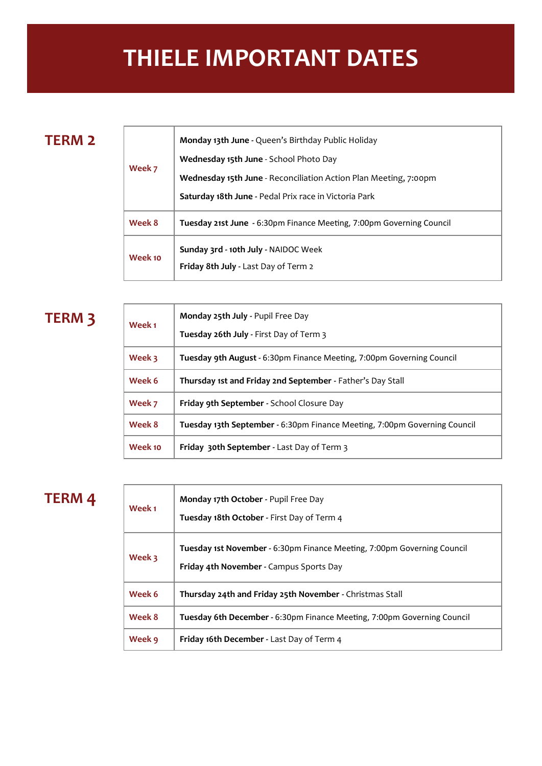# **THIELE IMPORTANT DATES**

# **TERM 2**

Т

L

| Week 7  | Monday 13th June - Queen's Birthday Public Holiday                                  |
|---------|-------------------------------------------------------------------------------------|
|         | Wednesday 15th June - School Photo Day                                              |
|         | <b>Wednesday 15th June</b> - Reconciliation Action Plan Meeting, 7:00pm             |
|         | Saturday 18th June - Pedal Prix race in Victoria Park                               |
| Week 8  | <b>Tuesday 21st June - 6:30pm Finance Meeting, 7:00pm Governing Council</b>         |
| Week 10 | Sunday 3rd - 10th July - NAIDOC Week<br><b>Friday 8th July - Last Day of Term 2</b> |

# **TERM 3**

| Week <sub>1</sub> | Monday 25th July - Pupil Free Day<br>Tuesday 26th July - First Day of Term 3     |
|-------------------|----------------------------------------------------------------------------------|
| Week 3            | Tuesday 9th August - 6:30pm Finance Meeting, 7:00pm Governing Council            |
| Week 6            | Thursday 1st and Friday 2nd September - Father's Day Stall                       |
| Week 7            | <b>Friday 9th September - School Closure Day</b>                                 |
| Week 8            | <b>Tuesday 13th September - 6:30pm Finance Meeting, 7:00pm Governing Council</b> |
| Week 10           | <b>Friday 30th September - Last Day of Term 3</b>                                |

# **TERM 4**

| Week 1 | <b>Monday 17th October - Pupil Free Day</b><br>Tuesday 18th October - First Day of Term 4                          |
|--------|--------------------------------------------------------------------------------------------------------------------|
| Week 3 | Tuesday 1st November - 6:30pm Finance Meeting, 7:00pm Governing Council<br>Friday 4th November - Campus Sports Day |
| Week 6 | Thursday 24th and Friday 25th November - Christmas Stall                                                           |
| Week 8 | <b>Tuesday 6th December - 6:30pm Finance Meeting, 7:00pm Governing Council</b>                                     |
| Week 9 | Friday 16th December - Last Day of Term 4                                                                          |